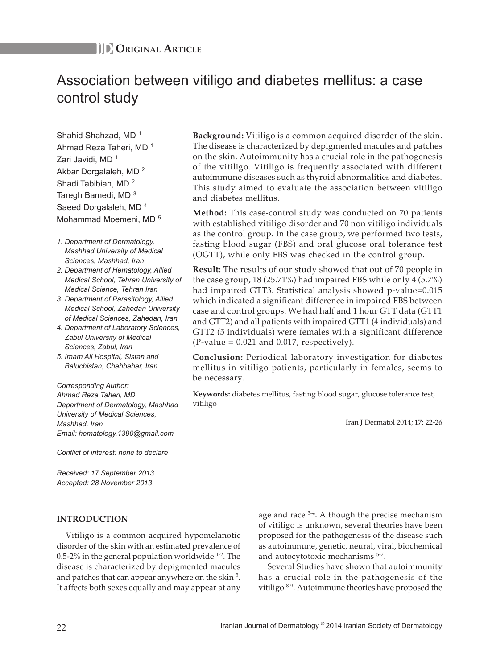# Association between vitiligo and diabetes mellitus: a case control study

Shahid Shahzad, MD<sup>1</sup> Ahmad Reza Taheri, MD <sup>1</sup> Zari Javidi, MD<sup>1</sup> Akbar Dorgalaleh, MD <sup>2</sup> Shadi Tabibian, MD <sup>2</sup> Taregh Bamedi, MD <sup>3</sup> Saeed Dorgalaleh, MD<sup>4</sup> Mohammad Moemeni, MD<sup>5</sup>

- *1. Department of Dermatology, Mashhad University of Medical Sciences, Mashhad, Iran*
- *2. Department of Hematology, Allied Medical School, Tehran University of Medical Science, Tehran Iran*
- *3. Department of Parasitology, Allied Medical School, Zahedan University of Medical Sciences, Zahedan, Iran*
- *4. Department of Laboratory Sciences, Zabul University of Medical Sciences, Zabul, Iran*
- *5. Imam Ali Hospital, Sistan and Baluchistan, Chahbahar, Iran*

*Corresponding Author: Ahmad Reza Taheri, MD Department of Dermatology, Mashhad University of Medical Sciences, Mashhad, Iran Email: hematology.1390@gmail.com*

*Conflict of interest: none to declare*

*Received: 17 September 2013 Accepted: 28 November 2013*

# **INTRODUCTION**

Vitiligo is a common acquired hypomelanotic disorder of the skin with an estimated prevalence of 0.5-2% in the general population worldwide  $1-2$ . The disease is characterized by depigmented macules and patches that can appear anywhere on the skin  $3$ . It affects both sexes equally and may appear at any

**Background:** Vitiligo is a common acquired disorder of the skin. The disease is characterized by depigmented macules and patches on the skin. Autoimmunity has a crucial role in the pathogenesis of the vitiligo. Vitiligo is frequently associated with different autoimmune diseases such as thyroid abnormalities and diabetes. This study aimed to evaluate the association between vitiligo and diabetes mellitus.

**Method:** This case-control study was conducted on 70 patients with established vitiligo disorder and 70 non vitiligo individuals as the control group. In the case group, we performed two tests, fasting blood sugar (FBS) and oral glucose oral tolerance test (OGTT), while only FBS was checked in the control group.

**Result:** The results of our study showed that out of 70 people in the case group, 18 (25.71%) had impaired FBS while only 4 (5.7%) had impaired GTT3. Statistical analysis showed p-value=0.015 which indicated a significant difference in impaired FBS between case and control groups. We had half and 1 hour GTT data (GTT1 and GTT2) and all patients with impaired GTT1 (4 individuals) and GTT2 (5 individuals) were females with a significant difference  $(P-value = 0.021$  and 0.017, respectively).

**Conclusion:** Periodical laboratory investigation for diabetes mellitus in vitiligo patients, particularly in females, seems to be necessary.

**Keywords:** diabetes mellitus, fasting blood sugar, glucose tolerance test, vitiligo

Iran J Dermatol 2014; 17: 22-26

age and race <sup>3-4</sup>. Although the precise mechanism of vitiligo is unknown, several theories have been proposed for the pathogenesis of the disease such as autoimmune, genetic, neural, viral, biochemical and autocytotoxic mechanisms <sup>5-7</sup>.

Several Studies have shown that autoimmunity has a crucial role in the pathogenesis of the vitiligo 8-9. Autoimmune theories have proposed the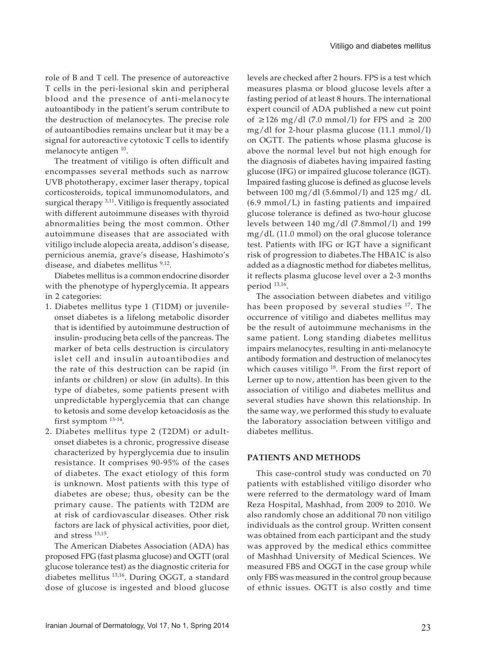role of B and T cell. The presence of autoreactive T cells in the peri-lesional skin and peripheral blood and the presence of anti-melanocyte autoantibody in the patient's serum contribute to the destruction of melanocytes. The precise role of autoantibodies remains unclear but it may be a signal for autoreactive cytotoxic T cells to identify melanocyte antigen <sup>10</sup>.

The treatment of vitiligo is often difficult and encompasses several methods such as narrow UVB phototherapy, excimer laser therapy, topical corticosteroids, topical immunomodulators, and surgical therapy <sup>3,11</sup>. Vitiligo is frequently associated with different autoimmune diseases with thyroid abnormalities being the most common. Other autoimmune diseases that are associated with vitiligo include alopecia areata, addison's disease, pernicious anemia, grave's disease, Hashimoto's disease, and diabetes mellitus <sup>9,12</sup>.

Diabetes mellitus is a common endocrine disorder with the phenotype of hyperglycemia. It appears in 2 categories:

- 1. Diabetes mellitus type 1 (T1DM) or juvenileonset diabetes is a lifelong metabolic disorder that is identified by autoimmune destruction of insulin- producing beta cells of the pancreas. The marker of beta cells destruction is circulatory islet cell and insulin autoantibodies and the rate of this destruction can be rapid (in infants or children) or slow (in adults). In this type of diabetes, some patients present with unpredictable hyperglycemia that can change to ketosis and some develop ketoacidosis as the first symptom 13-14.
- 2. Diabetes mellitus type 2 (T2DM) or adultonset diabetes is a chronic, progressive disease characterized by hyperglycemia due to insulin resistance. It comprises 90-95% of the cases of diabetes. The exact etiology of this form is unknown. Most patients with this type of diabetes are obese; thus, obesity can be the primary cause. The patients with T2DM are at risk of cardiovascular diseases. Other risk factors are lack of physical activities, poor diet, and stress 13,15.

The American Diabetes Association (ADA) has proposed FPG (fast plasma glucose) and OGTT (oral glucose tolerance test) as the diagnostic criteria for diabetes mellitus <sup>13,16</sup>. During OGGT, a standard dose of glucose is ingested and blood glucose levels are checked after 2 hours. FPS is a test which measures plasma or blood glucose levels after a fasting period of at least 8 hours. The international expert council of ADA published a new cut point of ≥126 mg/dl (7.0 mmol/l) for FPS and ≥ 200 mg/dl for 2-hour plasma glucose (11.1 mmol/l) on OGTT. The patients whose plasma glucose is above the normal level but not high enough for the diagnosis of diabetes having impaired fasting glucose (IFG) or impaired glucose tolerance (IGT). Impaired fasting glucose is defined as glucose levels between 100 mg/dl (5.6mmol/l) and 125 mg/ dL (6.9 mmol/L) in fasting patients and impaired glucose tolerance is defined as two-hour glucose levels between 140 mg/dl (7.8mmol/l) and 199 mg/dL (11.0 mmol) on the oral glucose tolerance test. Patients with IFG or IGT have a significant risk of progression to diabetes.The HBA1C is also added as a diagnostic method for diabetes mellitus, it reflects plasma glucose level over a 2-3 months period 13,16.

The association between diabetes and vitiligo has been proposed by several studies <sup>17</sup>. The occurrence of vitiligo and diabetes mellitus may be the result of autoimmune mechanisms in the same patient. Long standing diabetes mellitus impairs melanocytes, resulting in anti-melanocyte antibody formation and destruction of melanocytes which causes vitiligo  $18$ . From the first report of Lerner up to now, attention has been given to the association of vitiligo and diabetes mellitus and several studies have shown this relationship. In the same way, we performed this study to evaluate the laboratory association between vitiligo and diabetes mellitus.

### **PATIENTS AND METHODS**

This case-control study was conducted on 70 patients with established vitiligo disorder who were referred to the dermatology ward of Imam Reza Hospital, Mashhad, from 2009 to 2010. We also randomly chose an additional 70 non vitiligo individuals as the control group. Written consent was obtained from each participant and the study was approved by the medical ethics committee of Mashhad University of Medical Sciences. We measured FBS and OGGT in the case group while only FBS was measured in the control group because of ethnic issues. OGTT is also costly and time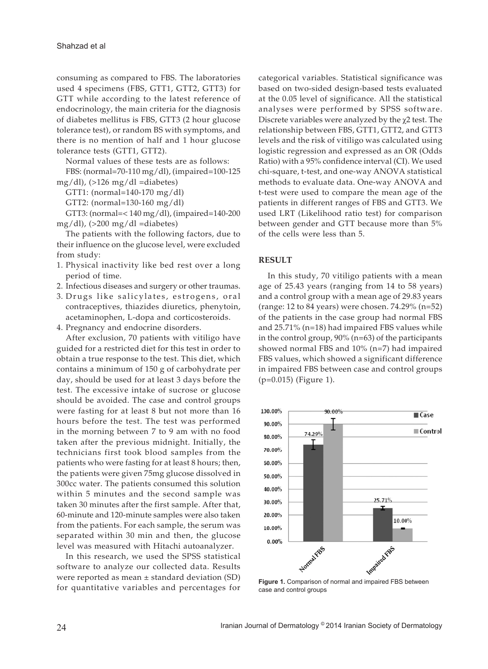consuming as compared to FBS. The laboratories used 4 specimens (FBS, GTT1, GTT2, GTT3) for GTT while according to the latest reference of endocrinology, the main criteria for the diagnosis of diabetes mellitus is FBS, GTT3 (2 hour glucose tolerance test), or random BS with symptoms, and there is no mention of half and 1 hour glucose tolerance tests (GTT1, GTT2).

Normal values of these tests are as follows:

FBS: (normal=70-110 mg/dl), (impaired=100-125 mg/dl),  $(>126$  mg/dl =diabetes)

GTT1: (normal=140-170 mg/dl)

GTT2: (normal=130-160 mg/dl)

GTT3: (normal=< 140 mg/dl), (impaired=140-200 mg/dl), (>200 mg/dl =diabetes)

The patients with the following factors, due to their influence on the glucose level, were excluded from study:

- 1. Physical inactivity like bed rest over a long period of time.
- 2. Infectious diseases and surgery or other traumas.
- 3. Drugs like salicylates, estrogens, oral contraceptives, thiazides diuretics, phenytoin, acetaminophen, L-dopa and corticosteroids.
- 4. Pregnancy and endocrine disorders.

After exclusion, 70 patients with vitiligo have guided for a restricted diet for this test in order to obtain a true response to the test. This diet, which contains a minimum of 150 g of carbohydrate per day, should be used for at least 3 days before the test. The excessive intake of sucrose or glucose should be avoided. The case and control groups were fasting for at least 8 but not more than 16 hours before the test. The test was performed in the morning between 7 to 9 am with no food taken after the previous midnight. Initially, the technicians first took blood samples from the patients who were fasting for at least 8 hours; then, the patients were given 75mg glucose dissolved in 300cc water. The patients consumed this solution within 5 minutes and the second sample was taken 30 minutes after the first sample. After that, 60-minute and 120-minute samples were also taken from the patients. For each sample, the serum was separated within 30 min and then, the glucose level was measured with Hitachi autoanalyzer.

In this research, we used the SPSS statistical software to analyze our collected data. Results were reported as mean  $\pm$  standard deviation (SD) for quantitative variables and percentages for

categorical variables. Statistical significance was based on two-sided design-based tests evaluated at the 0.05 level of significance. All the statistical analyses were performed by SPSS software. Discrete variables were analyzed by the χ2 test. The relationship between FBS, GTT1, GTT2, and GTT3 levels and the risk of vitiligo was calculated using logistic regression and expressed as an OR (Odds Ratio) with a 95% confidence interval (CI). We used chi-square, t-test, and one-way ANOVA statistical methods to evaluate data. One-way ANOVA and t-test were used to compare the mean age of the patients in different ranges of FBS and GTT3. We used LRT (Likelihood ratio test) for comparison between gender and GTT because more than 5% of the cells were less than 5.

# **RESULT**

In this study, 70 vitiligo patients with a mean age of 25.43 years (ranging from 14 to 58 years) and a control group with a mean age of 29.83 years (range: 12 to 84 years) were chosen. 74.29% (n=52) of the patients in the case group had normal FBS and 25.71% (n=18) had impaired FBS values while in the control group, 90% (n=63) of the participants showed normal FBS and 10% (n=7) had impaired FBS values, which showed a significant difference in impaired FBS between case and control groups (p=0.015) (Figure 1).



**Figure 1.** Comparison of normal and impaired FBS between case and control groups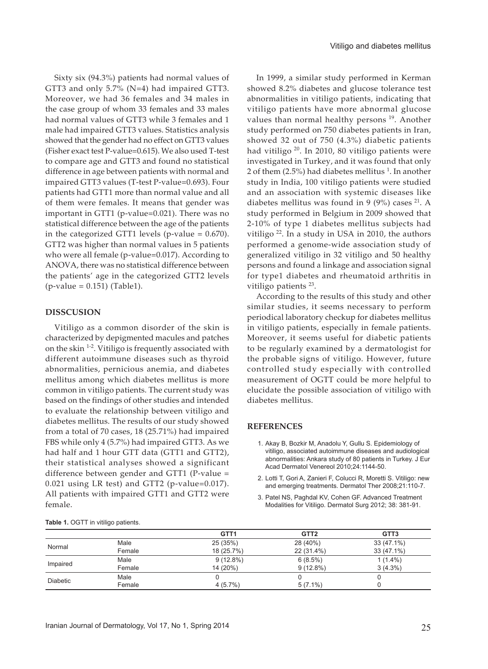Sixty six (94.3%) patients had normal values of GTT3 and only 5.7% (N=4) had impaired GTT3. Moreover, we had 36 females and 34 males in the case group of whom 33 females and 33 males had normal values of GTT3 while 3 females and 1 male had impaired GTT3 values. Statistics analysis showed that the gender had no effect on GTT3 values (Fisher exact test P-value=0.615). We also used T-test to compare age and GTT3 and found no statistical difference in age between patients with normal and impaired GTT3 values (T-test P-value=0.693). Four patients had GTT1 more than normal value and all of them were females. It means that gender was important in GTT1 (p-value=0.021). There was no statistical difference between the age of the patients in the categorized GTT1 levels (p-value  $= 0.670$ ). GTT2 was higher than normal values in 5 patients who were all female (p-value=0.017). According to ANOVA, there was no statistical difference between the patients' age in the categorized GTT2 levels (p-value = 0.151) (Table1).

## **DISSCUSION**

Vitiligo as a common disorder of the skin is characterized by depigmented macules and patches on the skin 1-2. Vitiligo is frequently associated with different autoimmune diseases such as thyroid abnormalities, pernicious anemia, and diabetes mellitus among which diabetes mellitus is more common in vitiligo patients. The current study was based on the findings of other studies and intended to evaluate the relationship between vitiligo and diabetes mellitus. The results of our study showed from a total of 70 cases, 18 (25.71%) had impaired FBS while only 4 (5.7%) had impaired GTT3. As we had half and 1 hour GTT data (GTT1 and GTT2), their statistical analyses showed a significant difference between gender and GTT1 (P-value = 0.021 using LR test) and GTT2 (p-value=0.017). All patients with impaired GTT1 and GTT2 were female.

Female

Female

Female

In 1999, a similar study performed in Kerman showed 8.2% diabetes and glucose tolerance test abnormalities in vitiligo patients, indicating that vitiligo patients have more abnormal glucose values than normal healthy persons  $19$ . Another study performed on 750 diabetes patients in Iran, showed 32 out of 750 (4.3%) diabetic patients had vitiligo  $20$ . In 2010, 80 vitiligo patients were investigated in Turkey, and it was found that only 2 of them (2.5%) had diabetes mellitus  $^1$ . In another study in India, 100 vitiligo patients were studied and an association with systemic diseases like diabetes mellitus was found in 9 (9%) cases  $21$ . A study performed in Belgium in 2009 showed that 2-10% of type 1 diabetes mellitus subjects had vitiligo  $^{22}$ . In a study in USA in 2010, the authors performed a genome-wide association study of generalized vitiligo in 32 vitiligo and 50 healthy persons and found a linkage and association signal for type1 diabetes and rheumatoid arthritis in vitiligo patients<sup>23</sup>.

According to the results of this study and other similar studies, it seems necessary to perform periodical laboratory checkup for diabetes mellitus in vitiligo patients, especially in female patients. Moreover, it seems useful for diabetic patients to be regularly examined by a dermatologist for the probable signs of vitiligo. However, future controlled study especially with controlled measurement of OGTT could be more helpful to elucidate the possible association of vitiligo with diabetes mellitus.

#### **REFERENCES**

- 1. Akay B, Bozkir M, Anadolu Y, Gullu S. Epidemiology of vitiligo, associated autoimmune diseases and audiological abnormalities: Ankara study of 80 patients in Turkey. J Eur Acad Dermatol Venereol 2010;24:1144-50.
- 2. Lotti T, Gori A, Zanieri F, Colucci R, Moretti S. Vitiligo: new and emerging treatments. Dermatol Ther 2008;21:110-7.
- 3. Patel NS, Paghdal KV, Cohen GF. Advanced Treatment Modalities for Vitiligo. Dermatol Surg 2012; 38: 381-91.

**GTT1 GTT2 GTT3**

6 (8.5%) 9 (12.8%)

0 5 (7.1%)

28 (40%) 22 (31.4%)

| Iranian Journal of Dermatology, Vol 17, No 1, Spring 2014 |  |
|-----------------------------------------------------------|--|

25 (35%) 18 (25.7%)

0 4 (5.7%)

9 (12.8%) 14 (20%)

| Table 1. OGTT in vitiligo patients. |  |
|-------------------------------------|--|
|-------------------------------------|--|

Normal Male

Impaired Male

Diabetic Male

33 (47.1%) 33 (47.1%)

> 1 (1.4%) 3 (4.3%)

0 0